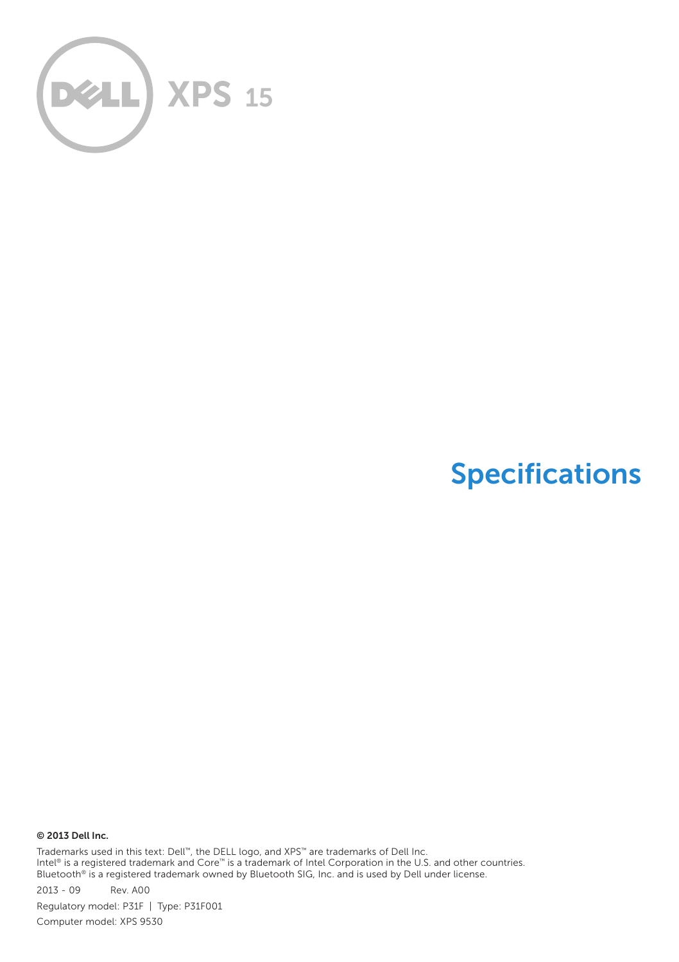

# Specifications

© 2013 Dell Inc.

Trademarks used in this text: Dell™, the DELL logo, and XPS™ are trademarks of Dell Inc.<br>Intel® is a registered trademark and Core™ is a trademark of Intel Corporation in the U.S. and other countries. Bluetooth® is a registered trademark owned by Bluetooth SIG, Inc. and is used by Dell under license.

2013 ‑ 09 Rev. A00 Regulatory model: P31F | Type: P31F001 Computer model: XPS 9530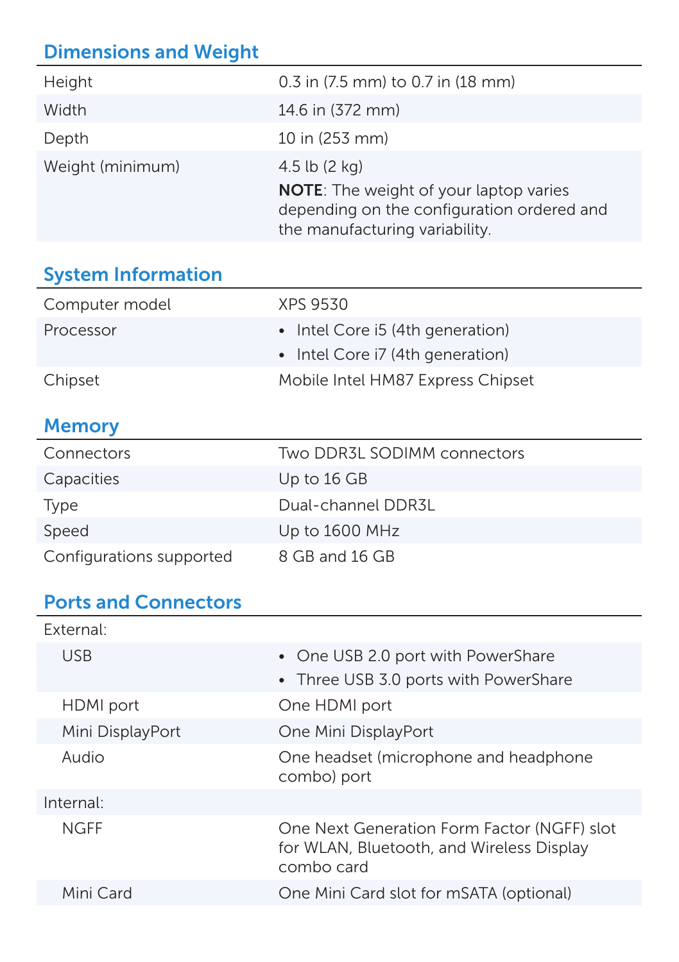# Dimensions and Weight

| Height           | 0.3 in (7.5 mm) to 0.7 in (18 mm)                                                                                                                        |
|------------------|----------------------------------------------------------------------------------------------------------------------------------------------------------|
| Width            | 14.6 in (372 mm)                                                                                                                                         |
| Depth            | 10 in (253 mm)                                                                                                                                           |
| Weight (minimum) | 4.5 lb $(2 \text{ kg})$<br><b>NOTE:</b> The weight of your laptop varies<br>depending on the configuration ordered and<br>the manufacturing variability. |
|                  |                                                                                                                                                          |

## System Information

| Computer model | XPS 9530                          |
|----------------|-----------------------------------|
| Processor      | • Intel Core i5 (4th generation)  |
|                | • Intel Core i7 (4th generation)  |
| Chipset        | Mobile Intel HM87 Express Chipset |

#### **Memory**

| Connectors               | Two DDR3L SODIMM connectors |
|--------------------------|-----------------------------|
| Capacities               | Up to 16 GB                 |
| Type                     | Dual-channel DDR3L          |
| Speed                    | Up to $1600$ MHz            |
| Configurations supported | 8 GB and 16 GB              |

#### Ports and Connectors

| External:        |                                                                                                        |
|------------------|--------------------------------------------------------------------------------------------------------|
| <b>USB</b>       | • One USB 2.0 port with PowerShare<br>• Three USB 3.0 ports with PowerShare                            |
|                  |                                                                                                        |
| HDMI port        | One HDMI port                                                                                          |
| Mini DisplayPort | One Mini DisplayPort                                                                                   |
| Audio            | One headset (microphone and headphone<br>combo) port                                                   |
| Internal:        |                                                                                                        |
| <b>NGFF</b>      | One Next Generation Form Factor (NGFF) slot<br>for WLAN, Bluetooth, and Wireless Display<br>combo card |
| Mini Card        | One Mini Card slot for mSATA (optional)                                                                |
|                  |                                                                                                        |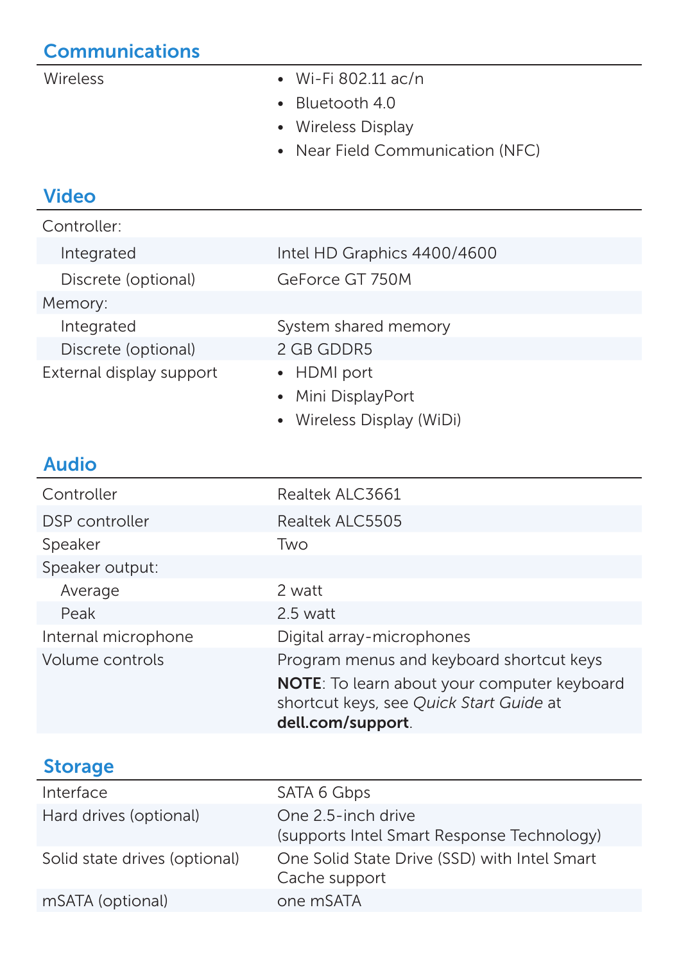## **Communications**

- Wireless Wi-Fi 802.11 ac/n
	- Bluetooth 4.0
	- • Wireless Display
	- Near Field Communication (NFC)

#### Video

| Controller:              |                             |
|--------------------------|-----------------------------|
| Integrated               | Intel HD Graphics 4400/4600 |
| Discrete (optional)      | GeForce GT 750M             |
| Memory:                  |                             |
| Integrated               | System shared memory        |
| Discrete (optional)      | 2 GB GDDR5                  |
| External display support | • HDMI port                 |
|                          | • Mini DisplayPort          |
|                          | • Wireless Display (WiDi)   |
|                          |                             |

### Audio

| Controller          | Realtek ALC3661                                                                                             |
|---------------------|-------------------------------------------------------------------------------------------------------------|
| DSP controller      | Realtek ALC5505                                                                                             |
| Speaker             | Two                                                                                                         |
| Speaker output:     |                                                                                                             |
| Average             | 2 watt                                                                                                      |
| Peak                | 2.5 watt                                                                                                    |
| Internal microphone | Digital array-microphones                                                                                   |
| Volume controls     | Program menus and keyboard shortcut keys                                                                    |
|                     | NOTE: To learn about your computer keyboard<br>shortcut keys, see Quick Start Guide at<br>dell.com/support. |

#### Storage

| Interface                     | SATA 6 Gbps                                                      |
|-------------------------------|------------------------------------------------------------------|
| Hard drives (optional)        | One 2.5-inch drive<br>(supports Intel Smart Response Technology) |
| Solid state drives (optional) | One Solid State Drive (SSD) with Intel Smart<br>Cache support    |
| mSATA (optional)              | one mSATA                                                        |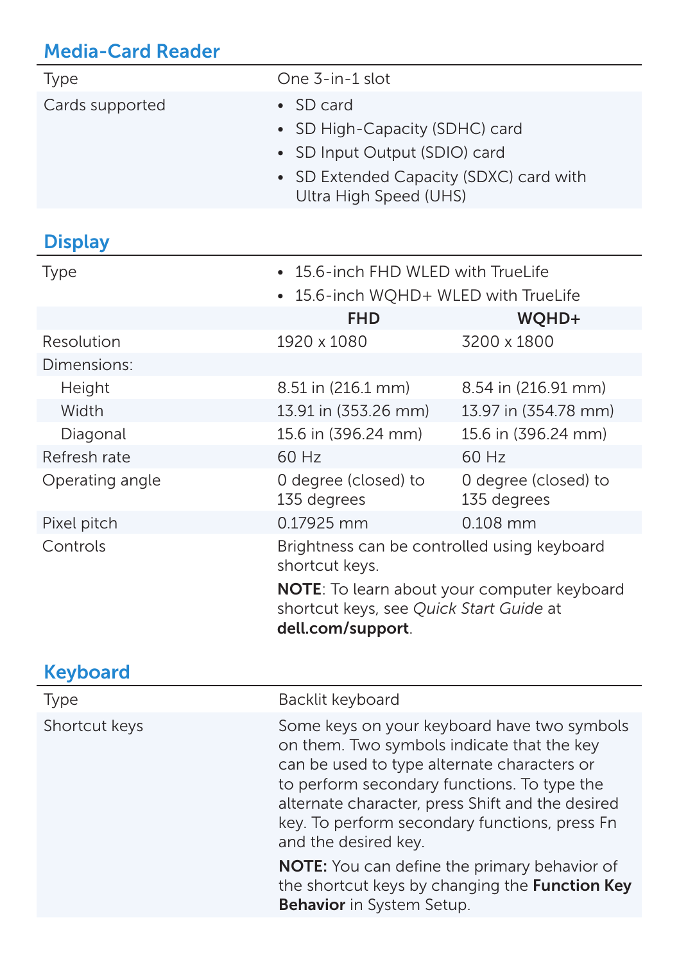# Media-Card Reader

| Type            | One 3-in-1 slot                                                                                                                                                                                                                                                                                                      |                                                |
|-----------------|----------------------------------------------------------------------------------------------------------------------------------------------------------------------------------------------------------------------------------------------------------------------------------------------------------------------|------------------------------------------------|
| Cards supported | SD card                                                                                                                                                                                                                                                                                                              |                                                |
|                 | SD High-Capacity (SDHC) card<br>$\bullet$                                                                                                                                                                                                                                                                            |                                                |
|                 | SD Input Output (SDIO) card<br>$\bullet$                                                                                                                                                                                                                                                                             |                                                |
|                 | SD Extended Capacity (SDXC) card with                                                                                                                                                                                                                                                                                |                                                |
|                 | Ultra High Speed (UHS)                                                                                                                                                                                                                                                                                               |                                                |
| <b>Display</b>  |                                                                                                                                                                                                                                                                                                                      |                                                |
| <b>Type</b>     | 15.6-inch FHD WLED with TrueLife<br>$\bullet$                                                                                                                                                                                                                                                                        |                                                |
|                 | 15.6-inch WQHD+ WLED with TrueLife                                                                                                                                                                                                                                                                                   |                                                |
|                 | <b>FHD</b>                                                                                                                                                                                                                                                                                                           | WQHD+                                          |
| Resolution      | 1920 x 1080                                                                                                                                                                                                                                                                                                          | 3200 x 1800                                    |
| Dimensions:     |                                                                                                                                                                                                                                                                                                                      |                                                |
| Height          | 8.51 in (216.1 mm)                                                                                                                                                                                                                                                                                                   | 8.54 in (216.91 mm)                            |
| Width           | 13.91 in (353.26 mm)                                                                                                                                                                                                                                                                                                 | 13.97 in (354.78 mm)                           |
| Diagonal        | 15.6 in (396.24 mm)                                                                                                                                                                                                                                                                                                  | 15.6 in (396.24 mm)                            |
| Refresh rate    | 60 Hz                                                                                                                                                                                                                                                                                                                | 60 Hz                                          |
| Operating angle | 0 degree (closed) to<br>135 degrees                                                                                                                                                                                                                                                                                  | 0 degree (closed) to<br>135 degrees            |
| Pixel pitch     | 0.17925 mm                                                                                                                                                                                                                                                                                                           | 0.108 mm                                       |
| Controls        | Brightness can be controlled using keyboard<br>shortcut keys.                                                                                                                                                                                                                                                        |                                                |
|                 | NOTE: To learn about your computer keyboard<br>shortcut keys, see Quick Start Guide at<br>dell.com/support.                                                                                                                                                                                                          |                                                |
| <b>Keyboard</b> |                                                                                                                                                                                                                                                                                                                      |                                                |
| Type            | Backlit keyboard                                                                                                                                                                                                                                                                                                     |                                                |
| Shortcut keys   | Some keys on your keyboard have two symbols<br>on them. Two symbols indicate that the key<br>can be used to type alternate characters or<br>to perform secondary functions. To type the<br>alternate character, press Shift and the desired<br>key. To perform secondary functions, press Fn<br>and the desired key. |                                                |
|                 | <b>NOTE:</b> You can define the primary behavior of<br>Behavior in System Setup.                                                                                                                                                                                                                                     | the shortcut keys by changing the Function Key |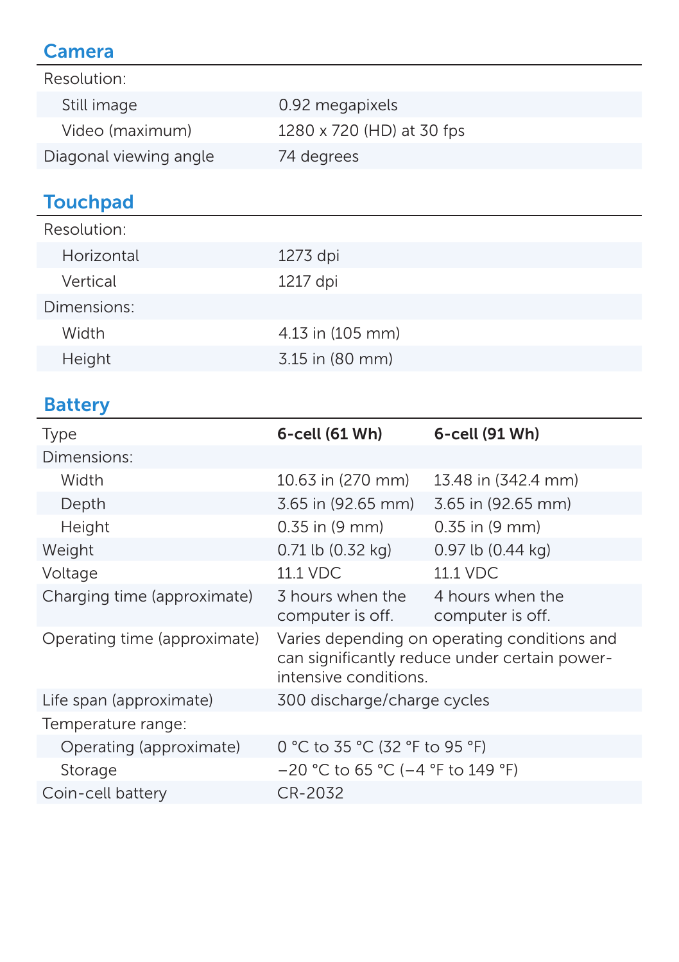### Camera

| Resolution:            |                           |
|------------------------|---------------------------|
| Still image            | 0.92 megapixels           |
| Video (maximum)        | 1280 x 720 (HD) at 30 fps |
| Diagonal viewing angle | 74 degrees                |

# **Touchpad**

| Resolution: |                      |
|-------------|----------------------|
| Horizontal  | 1273 dpi             |
| Vertical    | 1217 dpi             |
| Dimensions: |                      |
| Width       | $4.13$ in $(105$ mm) |
| Height      | 3.15 in (80 mm)      |
|             |                      |

### **Battery**

| Type                         | $6$ -cell $(61 Wh)$                    | 6-cell (91 Wh)                                                                                |
|------------------------------|----------------------------------------|-----------------------------------------------------------------------------------------------|
| Dimensions:                  |                                        |                                                                                               |
| Width                        | 10.63 in (270 mm)                      | 13.48 in (342.4 mm)                                                                           |
| Depth                        | 3.65 in (92.65 mm)                     | 3.65 in (92.65 mm)                                                                            |
| Height                       | $0.35$ in $(9 \text{ mm})$             | 0.35 in (9 mm)                                                                                |
| Weight                       | $0.71$ lb $(0.32$ kg)                  | 0.97 lb (0.44 kg)                                                                             |
| Voltage                      | 11.1 VDC                               | 11.1 VDC                                                                                      |
| Charging time (approximate)  | 3 hours when the<br>computer is off.   | 4 hours when the<br>computer is off.                                                          |
| Operating time (approximate) | intensive conditions.                  | Varies depending on operating conditions and<br>can significantly reduce under certain power- |
| Life span (approximate)      | 300 discharge/charge cycles            |                                                                                               |
| Temperature range:           |                                        |                                                                                               |
| Operating (approximate)      | 0 °C to 35 °C (32 °F to 95 °F)         |                                                                                               |
| Storage                      | $-20$ °C to 65 °C ( $-4$ °F to 149 °F) |                                                                                               |
| Coin-cell battery            | CR-2032                                |                                                                                               |